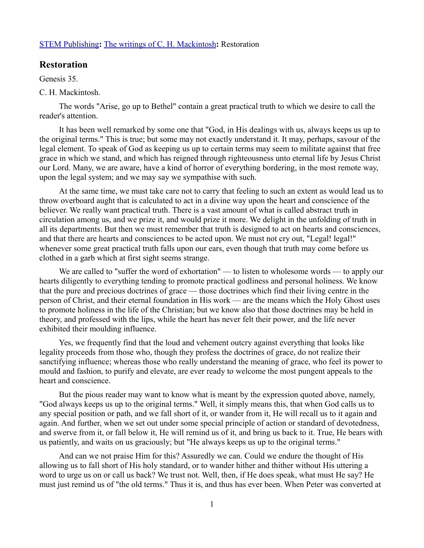## [STEM Publishing](http://www.stempublishing.com/)**:** [The writings of C. H. Mackintosh](http://www.stempublishing.com/authors/mackintosh/index.html)**:** Restoration

## **Restoration**

Genesis 35.

## C. H. Mackintosh.

The words "Arise, go up to Bethel" contain a great practical truth to which we desire to call the reader's attention.

It has been well remarked by some one that "God, in His dealings with us, always keeps us up to the original terms." This is true; but some may not exactly understand it. It may, perhaps, savour of the legal element. To speak of God as keeping us up to certain terms may seem to militate against that free grace in which we stand, and which has reigned through righteousness unto eternal life by Jesus Christ our Lord. Many, we are aware, have a kind of horror of everything bordering, in the most remote way, upon the legal system; and we may say we sympathise with such.

At the same time, we must take care not to carry that feeling to such an extent as would lead us to throw overboard aught that is calculated to act in a divine way upon the heart and conscience of the believer. We really want practical truth. There is a vast amount of what is called abstract truth in circulation among us, and we prize it, and would prize it more. We delight in the unfolding of truth in all its departments. But then we must remember that truth is designed to act on hearts and consciences, and that there are hearts and consciences to be acted upon. We must not cry out, "Legal! legal!" whenever some great practical truth falls upon our ears, even though that truth may come before us clothed in a garb which at first sight seems strange.

We are called to "suffer the word of exhortation" — to listen to wholesome words — to apply our hearts diligently to everything tending to promote practical godliness and personal holiness. We know that the pure and precious doctrines of grace — those doctrines which find their living centre in the person of Christ, and their eternal foundation in His work — are the means which the Holy Ghost uses to promote holiness in the life of the Christian; but we know also that those doctrines may be held in theory, and professed with the lips, while the heart has never felt their power, and the life never exhibited their moulding influence.

Yes, we frequently find that the loud and vehement outcry against everything that looks like legality proceeds from those who, though they profess the doctrines of grace, do not realize their sanctifying influence; whereas those who really understand the meaning of grace, who feel its power to mould and fashion, to purify and elevate, are ever ready to welcome the most pungent appeals to the heart and conscience.

But the pious reader may want to know what is meant by the expression quoted above, namely, "God always keeps us up to the original terms." Well, it simply means this, that when God calls us to any special position or path, and we fall short of it, or wander from it, He will recall us to it again and again. And further, when we set out under some special principle of action or standard of devotedness, and swerve from it, or fall below it, He will remind us of it, and bring us back to it. True, He bears with us patiently, and waits on us graciously; but "He always keeps us up to the original terms."

And can we not praise Him for this? Assuredly we can. Could we endure the thought of His allowing us to fall short of His holy standard, or to wander hither and thither without His uttering a word to urge us on or call us back? We trust not. Well, then, if He does speak, what must He say? He must just remind us of "the old terms." Thus it is, and thus has ever been. When Peter was converted at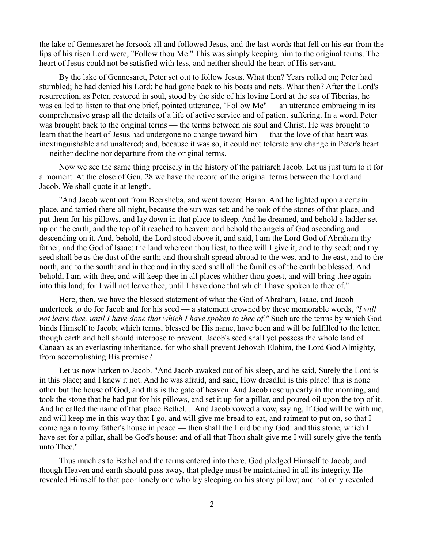the lake of Gennesaret he forsook all and followed Jesus, and the last words that fell on his ear from the lips of his risen Lord were, "Follow thou Me." This was simply keeping him to the original terms. The heart of Jesus could not be satisfied with less, and neither should the heart of His servant.

By the lake of Gennesaret, Peter set out to follow Jesus. What then? Years rolled on; Peter had stumbled; he had denied his Lord; he had gone back to his boats and nets. What then? After the Lord's resurrection, as Peter, restored in soul, stood by the side of his loving Lord at the sea of Tiberias, he was called to listen to that one brief, pointed utterance, "Follow Me" — an utterance embracing in its comprehensive grasp all the details of a life of active service and of patient suffering. In a word, Peter was brought back to the original terms — the terms between his soul and Christ. He was brought to learn that the heart of Jesus had undergone no change toward him — that the love of that heart was inextinguishable and unaltered; and, because it was so, it could not tolerate any change in Peter's heart — neither decline nor departure from the original terms.

Now we see the same thing precisely in the history of the patriarch Jacob. Let us just turn to it for a moment. At the close of Gen. 28 we have the record of the original terms between the Lord and Jacob. We shall quote it at length.

"And Jacob went out from Beersheba, and went toward Haran. And he lighted upon a certain place, and tarried there all night, because the sun was set; and he took of the stones of that place, and put them for his pillows, and lay down in that place to sleep. And he dreamed, and behold a ladder set up on the earth, and the top of it reached to heaven: and behold the angels of God ascending and descending on it. And, behold, the Lord stood above it, and said, l am the Lord God of Abraham thy father, and the God of Isaac: the land whereon thou liest, to thee will I give it, and to thy seed: and thy seed shall be as the dust of the earth; and thou shalt spread abroad to the west and to the east, and to the north, and to the south: and in thee and in thy seed shall all the families of the earth be blessed. And behold, I am with thee, and will keep thee in all places whither thou goest, and will bring thee again into this land; for I will not leave thee, until I have done that which I have spoken to thee of."

Here, then, we have the blessed statement of what the God of Abraham, Isaac, and Jacob undertook to do for Jacob and for his seed — a statement crowned by these memorable words, *"I will not leave thee. until I have done that which I have spoken to thee of."* Such are the terms by which God binds Himself to Jacob; which terms, blessed be His name, have been and will be fulfilled to the letter, though earth and hell should interpose to prevent. Jacob's seed shall yet possess the whole land of Canaan as an everlasting inheritance, for who shall prevent Jehovah Elohim, the Lord God Almighty, from accomplishing His promise?

Let us now harken to Jacob. "And Jacob awaked out of his sleep, and he said, Surely the Lord is in this place; and I knew it not. And he was afraid, and said, How dreadful is this place! this is none other but the house of God, and this is the gate of heaven. And Jacob rose up early in the morning, and took the stone that he had put for his pillows, and set it up for a pillar, and poured oil upon the top of it. And he called the name of that place Bethel.... And Jacob vowed a vow, saying, If God will be with me, and will keep me in this way that I go, and will give me bread to eat, and raiment to put on, so that I come again to my father's house in peace — then shall the Lord be my God: and this stone, which I have set for a pillar, shall be God's house: and of all that Thou shalt give me I will surely give the tenth unto Thee."

Thus much as to Bethel and the terms entered into there. God pledged Himself to Jacob; and though Heaven and earth should pass away, that pledge must be maintained in all its integrity. He revealed Himself to that poor lonely one who lay sleeping on his stony pillow; and not only revealed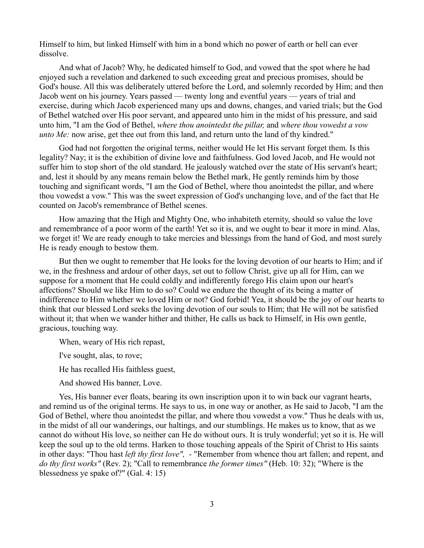Himself to him, but linked Himself with him in a bond which no power of earth or hell can ever dissolve.

And what of Jacob? Why, he dedicated himself to God, and vowed that the spot where he had enjoyed such a revelation and darkened to such exceeding great and precious promises, should be God's house. All this was deliberately uttered before the Lord, and solemnly recorded by Him; and then Jacob went on his journey. Years passed — twenty long and eventful years — years of trial and exercise, during which Jacob experienced many ups and downs, changes, and varied trials; but the God of Bethel watched over His poor servant, and appeared unto him in the midst of his pressure, and said unto him, "I am the God of Bethel, *where thou anointedst the pillar,* and *where thou vowedst a vow unto Me:* now arise, get thee out from this land, and return unto the land of thy kindred."

God had not forgotten the original terms, neither would He let His servant forget them. Is this legality? Nay; it is the exhibition of divine love and faithfulness. God loved Jacob, and He would not suffer him to stop short of the old standard. He jealously watched over the state of His servant's heart; and, lest it should by any means remain below the Bethel mark, He gently reminds him by those touching and significant words, "I am the God of Bethel, where thou anointedst the pillar, and where thou vowedst a vow." This was the sweet expression of God's unchanging love, and of the fact that He counted on Jacob's remembrance of Bethel scenes.

How amazing that the High and Mighty One, who inhabiteth eternity, should so value the love and remembrance of a poor worm of the earth! Yet so it is, and we ought to bear it more in mind. Alas, we forget it! We are ready enough to take mercies and blessings from the hand of God, and most surely He is ready enough to bestow them.

But then we ought to remember that He looks for the loving devotion of our hearts to Him; and if we, in the freshness and ardour of other days, set out to follow Christ, give up all for Him, can we suppose for a moment that He could coldly and indifferently forego His claim upon our heart's affections? Should we like Him to do so? Could we endure the thought of its being a matter of indifference to Him whether we loved Him or not? God forbid! Yea, it should be the joy of our hearts to think that our blessed Lord seeks the loving devotion of our souls to Him; that He will not be satisfied without it; that when we wander hither and thither, He calls us back to Himself, in His own gentle, gracious, touching way.

When, weary of His rich repast,

I've sought, alas, to rove;

He has recalled His faithless guest,

And showed His banner, Love.

Yes, His banner ever floats, bearing its own inscription upon it to win back our vagrant hearts, and remind us of the original terms. He says to us, in one way or another, as He said to Jacob, "I am the God of Bethel, where thou anointedst the pillar, and where thou vowedst a vow." Thus he deals with us, in the midst of all our wanderings, our haltings, and our stumblings. He makes us to know, that as we cannot do without His love, so neither can He do without ours. It is truly wonderful; yet so it is. He will keep the soul up to the old terms. Harken to those touching appeals of the Spirit of Christ to His saints in other days: "Thou hast *left thy first love", -* "Remember from whence thou art fallen; and repent, and *do thy first works"* (Rev. 2); "Call to remembrance *the former times"* (Heb. 10: 32); "Where is the blessedness ye spake of?" (Gal. 4: 15)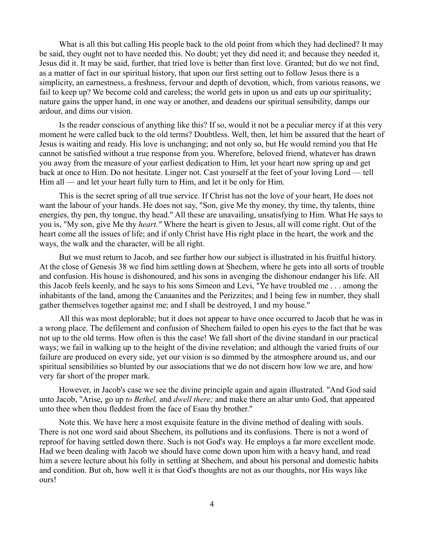What is all this but calling His people back to the old point from which they had declined? It may be said, they ought not to have needed this. No doubt; yet they did need it; and because they needed it, Jesus did it. It may be said, further, that tried love is better than first love. Granted; but do we not find, as a matter of fact in our spiritual history, that upon our first setting out to follow Jesus there is a simplicity, an earnestness, a freshness, fervour and depth of devotion, which, from various reasons, we fail to keep up? We become cold and careless; the world gets in upon us and eats up our spirituality; nature gains the upper hand, in one way or another, and deadens our spiritual sensibility, damps our ardour, and dims our vision.

Is the reader conscious of anything like this? If so, would it not be a peculiar mercy if at this very moment he were called back to the old terms? Doubtless. Well, then, let him be assured that the heart of Jesus is waiting and ready. His love is unchanging; and not only so, but He would remind you that He cannot be satisfied without a true response from you. Wherefore, beloved friend, whatever has drawn you away from the measure of your earliest dedication to Him, let your heart now spring up and get back at once to Him. Do not hesitate. Linger not. Cast yourself at the feet of your loving Lord — tell Him all — and let your heart fully turn to Him, and let it be only for Him.

This is the secret spring of all true service. If Christ has not the love of your heart, He does not want the labour of your hands. He does not say, "Son, give Me thy money, thy time, thy talents, thine energies, thy pen, thy tongue, thy head." All these are unavailing, unsatisfying to Him. What He says to you is, "My son, give Me thy *heart."* Where the heart is given to Jesus, all will come right. Out of the heart come all the issues of life; and if only Christ have His right place in the heart, the work and the ways, the walk and the character, will be all right.

But we must return to Jacob, and see further how our subject is illustrated in his fruitful history. At the close of Genesis 38 we find him settling down at Shechem, where he gets into all sorts of trouble and confusion. His house is dishonoured, and his sons in avenging the dishonour endanger his life. All this Jacob feels keenly, and he says to his sons Simeon and Levi, "Ye have troubled me . . . among the inhabitants of the land, among the Canaanites and the Perizzites; and I being few in number, they shall gather themselves together against me; and I shall be destroyed, I and my house."

All this was most deplorable; but it does not appear to have once occurred to Jacob that he was in a wrong place. The defilement and confusion of Shechem failed to open his eyes to the fact that he was not up to the old terms. How often is this the case! We fall short of the divine standard in our practical ways; we fail in walking up to the height of the divine revelation; and although the varied fruits of our failure are produced on every side, yet our vision is so dimmed by the atmosphere around us, and our spiritual sensibilities so blunted by our associations that we do not discern how low we are, and how very far short of the proper mark.

However, in Jacob's case we see the divine principle again and again illustrated. "And God said unto Jacob, "Arise, go up *to Bethel,* and *dwell there;* and make there an altar unto God, that appeared unto thee when thou fleddest from the face of Esau thy brother."

Note this. We have here a most exquisite feature in the divine method of dealing with souls. There is not one word said about Shechem, its pollutions and its confusions. There is not a word of reproof for having settled down there. Such is not God's way. He employs a far more excellent mode. Had we been dealing with Jacob we should have come down upon him with a heavy hand, and read him a severe lecture about his folly in settling at Shechem, and about his personal and domestic habits and condition. But oh, how well it is that God's thoughts are not as our thoughts, nor His ways like ours!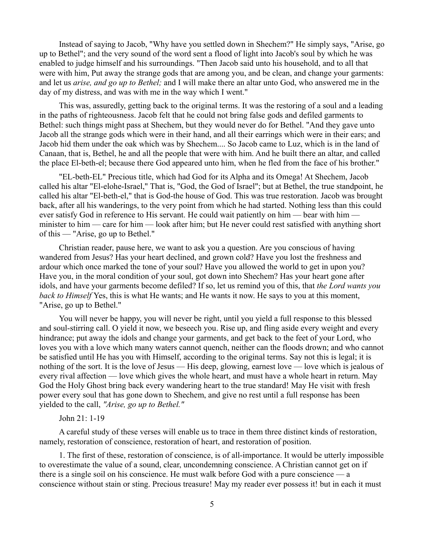Instead of saying to Jacob, "Why have you settled down in Shechem?" He simply says, "Arise, go up to Bethel"; and the very sound of the word sent a flood of light into Jacob's soul by which he was enabled to judge himself and his surroundings. "Then Jacob said unto his household, and to all that were with him, Put away the strange gods that are among you, and be clean, and change your garments: and let us *arise, and go up to Bethel;* and I will make there an altar unto God, who answered me in the day of my distress, and was with me in the way which I went."

This was, assuredly, getting back to the original terms. It was the restoring of a soul and a leading in the paths of righteousness. Jacob felt that he could not bring false gods and defiled garments to Bethel: such things might pass at Shechem, but they would never do for Bethel. "And they gave unto Jacob all the strange gods which were in their hand, and all their earrings which were in their ears; and Jacob hid them under the oak which was by Shechem.... So Jacob came to Luz, which is in the land of Canaan, that is, Bethel, he and all the people that were with him. And he built there an altar, and called the place El-beth-el; because there God appeared unto him, when he fled from the face of his brother."

"EL-beth-EL" Precious title, which had God for its Alpha and its Omega! At Shechem, Jacob called his altar "El-elohe-Israel," That is, "God, the God of Israel"; but at Bethel, the true standpoint, he called his altar "El-beth-el," that is God-the house of God. This was true restoration. Jacob was brought back, after all his wanderings, to the very point from which he had started. Nothing less than this could ever satisfy God in reference to His servant. He could wait patiently on him — bear with him minister to him — care for him — look after him; but He never could rest satisfied with anything short of this — "Arise, go up to Bethel."

Christian reader, pause here, we want to ask you a question. Are you conscious of having wandered from Jesus? Has your heart declined, and grown cold? Have you lost the freshness and ardour which once marked the tone of your soul? Have you allowed the world to get in upon you? Have you, in the moral condition of your soul, got down into Shechem? Has your heart gone after idols, and have your garments become defiled? If so, let us remind you of this, that *the Lord wants you back to Himself* Yes, this is what He wants; and He wants it now. He says to you at this moment, "Arise, go up to Bethel."

You will never be happy, you will never be right, until you yield a full response to this blessed and soul-stirring call. O yield it now, we beseech you. Rise up, and fling aside every weight and every hindrance; put away the idols and change your garments, and get back to the feet of your Lord, who loves you with a love which many waters cannot quench, neither can the floods drown; and who cannot be satisfied until He has you with Himself, according to the original terms. Say not this is legal; it is nothing of the sort. It is the love of Jesus — His deep, glowing, earnest love — love which is jealous of every rival affection — love which gives the whole heart, and must have a whole heart in return. May God the Holy Ghost bring back every wandering heart to the true standard! May He visit with fresh power every soul that has gone down to Shechem, and give no rest until a full response has been yielded to the call, *"Arise, go up to Bethel."* 

## John 21: 1-19

A careful study of these verses will enable us to trace in them three distinct kinds of restoration, namely, restoration of conscience, restoration of heart, and restoration of position.

1. The first of these, restoration of conscience, is of all-importance. It would be utterly impossible to overestimate the value of a sound, clear, uncondemning conscience. A Christian cannot get on if there is a single soil on his conscience. He must walk before God with a pure conscience — a conscience without stain or sting. Precious treasure! May my reader ever possess it! but in each it must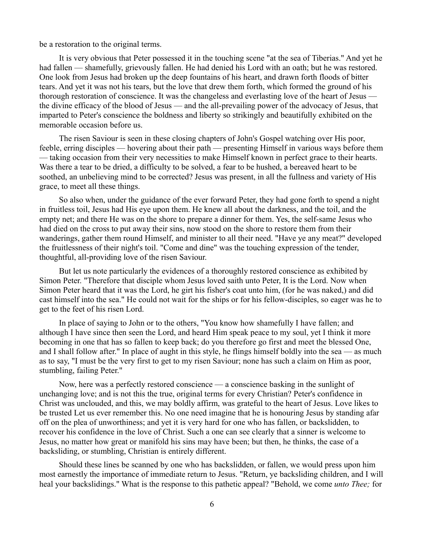be a restoration to the original terms.

It is very obvious that Peter possessed it in the touching scene "at the sea of Tiberias." And yet he had fallen — shamefully, grievously fallen. He had denied his Lord with an oath; but he was restored. One look from Jesus had broken up the deep fountains of his heart, and drawn forth floods of bitter tears. And yet it was not his tears, but the love that drew them forth, which formed the ground of his thorough restoration of conscience. It was the changeless and everlasting love of the heart of Jesus the divine efficacy of the blood of Jesus — and the all-prevailing power of the advocacy of Jesus, that imparted to Peter's conscience the boldness and liberty so strikingly and beautifully exhibited on the memorable occasion before us.

The risen Saviour is seen in these closing chapters of John's Gospel watching over His poor, feeble, erring disciples — hovering about their path — presenting Himself in various ways before them — taking occasion from their very necessities to make Himself known in perfect grace to their hearts. Was there a tear to be dried, a difficulty to be solved, a fear to be hushed, a bereaved heart to be soothed, an unbelieving mind to be corrected? Jesus was present, in all the fullness and variety of His grace, to meet all these things.

So also when, under the guidance of the ever forward Peter, they had gone forth to spend a night in fruitless toil, Jesus had His eye upon them. He knew all about the darkness, and the toil, and the empty net; and there He was on the shore to prepare a dinner for them. Yes, the self-same Jesus who had died on the cross to put away their sins, now stood on the shore to restore them from their wanderings, gather them round Himself, and minister to all their need. "Have ye any meat?" developed the fruitlessness of their night's toil. "Come and dine" was the touching expression of the tender, thoughtful, all-providing love of the risen Saviour.

But let us note particularly the evidences of a thoroughly restored conscience as exhibited by Simon Peter. "Therefore that disciple whom Jesus loved saith unto Peter, It is the Lord. Now when Simon Peter heard that it was the Lord, he girt his fisher's coat unto him, (for he was naked,) and did cast himself into the sea." He could not wait for the ships or for his fellow-disciples, so eager was he to get to the feet of his risen Lord.

In place of saying to John or to the others, "You know how shamefully I have fallen; and although I have since then seen the Lord, and heard Him speak peace to my soul, yet I think it more becoming in one that has so fallen to keep back; do you therefore go first and meet the blessed One, and I shall follow after." In place of aught in this style, he flings himself boldly into the sea — as much as to say, "I must be the very first to get to my risen Saviour; none has such a claim on Him as poor, stumbling, failing Peter."

Now, here was a perfectly restored conscience — a conscience basking in the sunlight of unchanging love; and is not this the true, original terms for every Christian? Peter's confidence in Christ was unclouded, and this, we may boldly affirm, was grateful to the heart of Jesus. Love likes to be trusted Let us ever remember this. No one need imagine that he is honouring Jesus by standing afar off on the plea of unworthiness; and yet it is very hard for one who has fallen, or backslidden, to recover his confidence in the love of Christ. Such a one can see clearly that a sinner is welcome to Jesus, no matter how great or manifold his sins may have been; but then, he thinks, the case of a backsliding, or stumbling, Christian is entirely different.

Should these lines be scanned by one who has backslidden, or fallen, we would press upon him most earnestly the importance of immediate return to Jesus. "Return, ye backsliding children, and I will heal your backslidings." What is the response to this pathetic appeal? "Behold, we come *unto Thee;* for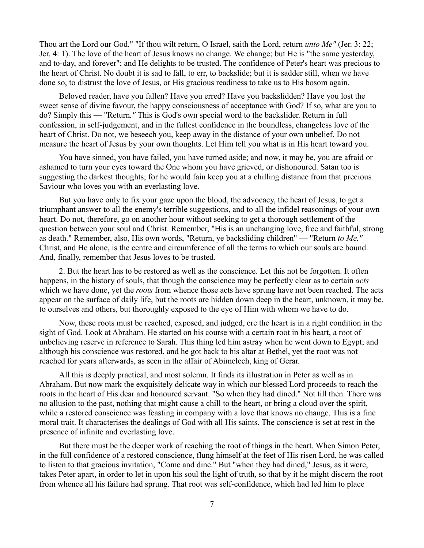Thou art the Lord our God." "If thou wilt return, O Israel, saith the Lord, return *unto Me"* (Jer. 3: 22; Jer. 4: 1). The love of the heart of Jesus knows no change. We change; but He is "the same yesterday, and to-day, and forever"; and He delights to be trusted. The confidence of Peter's heart was precious to the heart of Christ. No doubt it is sad to fall, to err, to backslide; but it is sadder still, when we have done so, to distrust the love of Jesus, or His gracious readiness to take us to His bosom again.

Beloved reader, have you fallen? Have you erred? Have you backslidden? Have you lost the sweet sense of divine favour, the happy consciousness of acceptance with God? If so, what are you to do? Simply this — "Return*."* This is God's own special word to the backslider. Return in full confession, in self-judgement, and in the fullest confidence in the boundless, changeless love of the heart of Christ. Do not, we beseech you, keep away in the distance of your own unbelief. Do not measure the heart of Jesus by your own thoughts. Let Him tell you what is in His heart toward you.

You have sinned, you have failed, you have turned aside; and now, it may be, you are afraid or ashamed to turn your eyes toward the One whom you have grieved, or dishonoured. Satan too is suggesting the darkest thoughts; for he would fain keep you at a chilling distance from that precious Saviour who loves you with an everlasting love.

But you have only to fix your gaze upon the blood, the advocacy, the heart of Jesus, to get a triumphant answer to all the enemy's terrible suggestions, and to all the infidel reasonings of your own heart. Do not, therefore, go on another hour without seeking to get a thorough settlement of the question between your soul and Christ. Remember, "His is an unchanging love, free and faithful, strong as death." Remember, also, His own words, "Return, ye backsliding children" — "Return *to Me."* Christ, and He alone, is the centre and circumference of all the terms to which our souls are bound. And, finally, remember that Jesus loves to be trusted.

2. But the heart has to be restored as well as the conscience. Let this not be forgotten. It often happens, in the history of souls, that though the conscience may be perfectly clear as to certain *acts* which we have done, yet the *roots* from whence those acts have sprung have not been reached. The acts appear on the surface of daily life, but the roots are hidden down deep in the heart, unknown, it may be, to ourselves and others, but thoroughly exposed to the eye of Him with whom we have to do.

Now, these roots must be reached, exposed, and judged, ere the heart is in a right condition in the sight of God. Look at Abraham. He started on his course with a certain root in his heart, a root of unbelieving reserve in reference to Sarah. This thing led him astray when he went down to Egypt; and although his conscience was restored, and he got back to his altar at Bethel, yet the root was not reached for years afterwards, as seen in the affair of Abimelech, king of Gerar.

All this is deeply practical, and most solemn. It finds its illustration in Peter as well as in Abraham. But now mark the exquisitely delicate way in which our blessed Lord proceeds to reach the roots in the heart of His dear and honoured servant. "So when they had dined." Not till then. There was no allusion to the past, nothing that might cause a chill to the heart, or bring a cloud over the spirit, while a restored conscience was feasting in company with a love that knows no change. This is a fine moral trait. It characterises the dealings of God with all His saints. The conscience is set at rest in the presence of infinite and everlasting love.

But there must be the deeper work of reaching the root of things in the heart. When Simon Peter, in the full confidence of a restored conscience, flung himself at the feet of His risen Lord, he was called to listen to that gracious invitation, "Come and dine." But "when they had dined," Jesus, as it were, takes Peter apart, in order to let in upon his soul the light of truth, so that by it he might discern the root from whence all his failure had sprung. That root was self-confidence, which had led him to place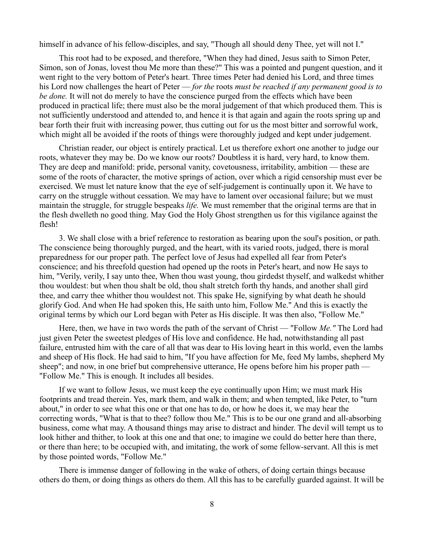himself in advance of his fellow-disciples, and say, "Though all should deny Thee, yet will not I."

This root had to be exposed, and therefore, "When they had dined, Jesus saith to Simon Peter, Simon, son of Jonas, lovest thou Me more than these?" This was a pointed and pungent question, and it went right to the very bottom of Peter's heart. Three times Peter had denied his Lord, and three times his Lord now challenges the heart of Peter — *for the* roots *must be reached if any permanent good is to be done.* It will not do merely to have the conscience purged from the effects which have been produced in practical life; there must also be the moral judgement of that which produced them. This is not sufficiently understood and attended to, and hence it is that again and again the roots spring up and bear forth their fruit with increasing power, thus cutting out for us the most bitter and sorrowful work, which might all be avoided if the roots of things were thoroughly judged and kept under judgement.

Christian reader, our object is entirely practical. Let us therefore exhort one another to judge our roots, whatever they may be. Do we know our roots? Doubtless it is hard, very hard, to know them. They are deep and manifold: pride, personal vanity, covetousness, irritability, ambition — these are some of the roots of character, the motive springs of action, over which a rigid censorship must ever be exercised. We must let nature know that the eye of self-judgement is continually upon it. We have to carry on the struggle without cessation. We may have to lament over occasional failure; but we must maintain the struggle, for struggle bespeaks *life.* We must remember that the original terms are that in the flesh dwelleth no good thing. May God the Holy Ghost strengthen us for this vigilance against the flesh!

3. We shall close with a brief reference to restoration as bearing upon the soul's position, or path. The conscience being thoroughly purged, and the heart, with its varied roots, judged, there is moral preparedness for our proper path. The perfect love of Jesus had expelled all fear from Peter's conscience; and his threefold question had opened up the roots in Peter's heart, and now He says to him, "Verily, verily, I say unto thee, When thou wast young, thou girdedst thyself, and walkedst whither thou wouldest: but when thou shalt be old, thou shalt stretch forth thy hands, and another shall gird thee, and carry thee whither thou wouldest not. This spake He, signifying by what death he should glorify God. And when He had spoken this, He saith unto him, Follow Me." And this is exactly the original terms by which our Lord began with Peter as His disciple. It was then also, "Follow Me."

Here, then, we have in two words the path of the servant of Christ — "Follow *Me."* The Lord had just given Peter the sweetest pledges of His love and confidence. He had, notwithstanding all past failure, entrusted him with the care of all that was dear to His loving heart in this world, even the lambs and sheep of His flock. He had said to him, "If you have affection for Me, feed My lambs, shepherd My sheep"; and now, in one brief but comprehensive utterance, He opens before him his proper path — "Follow Me." This is enough. It includes all besides.

If we want to follow Jesus, we must keep the eye continually upon Him; we must mark His footprints and tread therein. Yes, mark them, and walk in them; and when tempted, like Peter, to "turn about," in order to see what this one or that one has to do, or how he does it, we may hear the correcting words, "What is that to thee? follow thou Me." This is to be our one grand and all-absorbing business, come what may. A thousand things may arise to distract and hinder. The devil will tempt us to look hither and thither, to look at this one and that one; to imagine we could do better here than there, or there than here; to be occupied with, and imitating, the work of some fellow-servant. All this is met by those pointed words, "Follow Me."

There is immense danger of following in the wake of others, of doing certain things because others do them, or doing things as others do them. All this has to be carefully guarded against. It will be